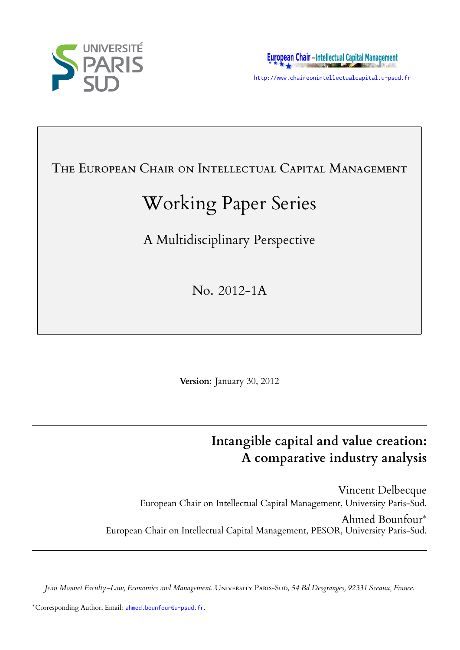



http://www.chaireonintellectualcapital.u-psud.fr

# THE EUROPEAN CHAIR ON INTELLECTUAL CAPITAL MANAGEMENT

# Working Paper Series

A Multidisciplinary Perspective

No. 2012-1A

**Version**: January 30, 2012

# **Intangible capital and value creation: A comparative industry analysis**

Vincent Delbecque European Chair on Intellectual Capital Management, University Paris-Sud. Ahmed Bounfour*∗* European Chair on Intellectual Capital Management, PESOR, University Paris-Sud.

*Jean Monnet Faculty–Law, Economics and Management.* Uᴠᴇᴛ Pᴀ-Sᴜᴅ*, 54 Bd Desgranges, 92331 Sceaux, France.*

*<sup>∗</sup>*Corresponding Author, Email: ahmed.bounfour@u-psud.fr.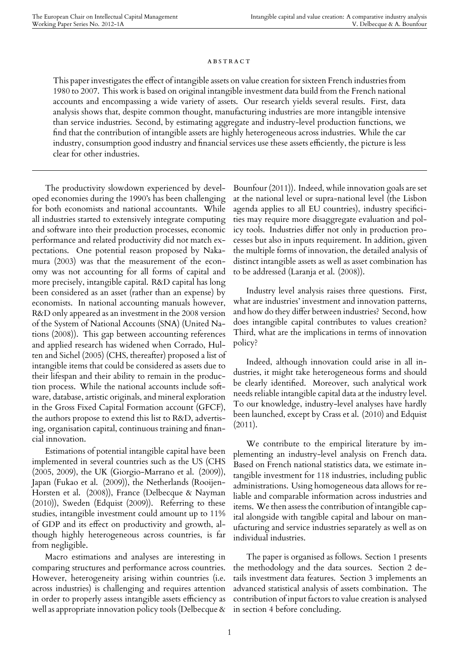#### **ABSTRACT**

This paper investigates the effect of intangible assets on value creation for sixteen French industries from 1980 to 2007. This work is based on original intangible investment data build from the French national accounts and encompassing a wide variety of assets. Our research yields several results. First, data analysis shows that, despite common thought, manufacturing industries are more intangible intensive than service industries. Second, by estimating aggregate and industry-level production functions, we find that the contribution of intangible assets are highly heterogeneous across industries. While the car industry, consumption good industry and financial services use these assets efficiently, the picture is less clear for other industries.

The productivity slowdown experienced by developed economies during the 1990's has been challenging for both economists and national accountants. While all industries started to extensively integrate computing and software into their production processes, economic performance and related productivity did not match expectations. One potential reason proposed by Nakamura (2003) was that the measurement of the economy was not accounting for all forms of capital and more precisely, intangible capital. R&D capital has long been considered as an asset (rather than an expense) by economists. In national accounting manuals however, R&D only appeared as an investment in the 2008 version of the System of National Accounts (SNA) (United Nations (2008)). This gap between accounting references and applied research has widened when Corrado, Hulten and Sichel (2005) (CHS, thereafter) proposed a list of intangible items that could be considered as assets due to their lifespan and their ability to remain in the production process. While the national accounts include software, database, artistic originals, and mineral exploration in the Gross Fixed Capital Formation account (GFCF), the authors propose to extend this list to R&D, advertising, organisation capital, continuous training and financial innovation.

Estimations of potential intangible capital have been implemented in several countries such as the US (CHS (2005, 2009), the UK (Giorgio-Marrano et al. (2009)), Japan (Fukao et al. (2009)), the Netherlands (Rooijen-Horsten et al. (2008)), France (Delbecque & Nayman (2010)), Sweden (Edquist (2009)). Referring to these studies, intangible investment could amount up to 11% of GDP and its effect on productivity and growth, although highly heterogeneous across countries, is far from negligible.

Macro estimations and analyses are interesting in comparing structures and performance across countries. However, heterogeneity arising within countries (i.e. across industries) is challenging and requires attention in order to properly assess intangible assets efficiency as well as appropriate innovation policy tools (Delbecque &

Bounfour (2011)). Indeed, while innovation goals are set at the national level or supra-national level (the Lisbon agenda applies to all EU countries), industry specificities may require more disaggregate evaluation and policy tools. Industries differ not only in production processes but also in inputs requirement. In addition, given the multiple forms of innovation, the detailed analysis of distinct intangible assets as well as asset combination has to be addressed (Laranja et al. (2008)).

Industry level analysis raises three questions. First, what are industries' investment and innovation patterns, and how do they differ between industries? Second, how does intangible capital contributes to values creation? Third, what are the implications in terms of innovation policy?

Indeed, although innovation could arise in all industries, it might take heterogeneous forms and should be clearly identified. Moreover, such analytical work needs reliable intangible capital data at the industry level. To our knowledge, industry-level analyses have hardly been launched, except by Crass et al. (2010) and Edquist  $(2011).$ 

We contribute to the empirical literature by implementing an industry-level analysis on French data. Based on French national statistics data, we estimate intangible investment for 118 industries, including public administrations. Using homogeneous data allows for reliable and comparable information across industries and items. We then assess the contribution of intangible capital alongside with tangible capital and labour on manufacturing and service industries separately as well as on individual industries.

The paper is organised as follows. Section 1 presents the methodology and the data sources. Section 2 details investment data features. Section 3 implements an advanced statistical analysis of assets combination. The contribution of input factors to value creation is analysed in section 4 before concluding.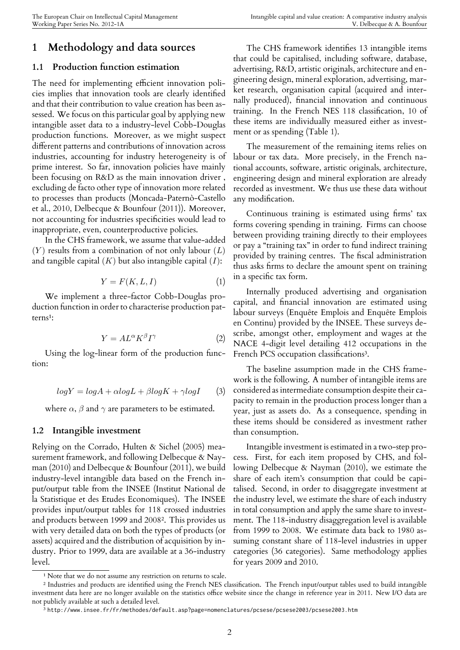### **1 Methodology and data sources**

#### **1.1 Production function estimation**

The need for implementing efficient innovation policies implies that innovation tools are clearly identified and that their contribution to value creation has been assessed. We focus on this particular goal by applying new intangible asset data to a industry-level Cobb-Douglas production functions. Moreover, as we might suspect different patterns and contributions of innovation across industries, accounting for industry heterogeneity is of prime interest. So far, innovation policies have mainly been focusing on R&D as the main innovation driver , excluding de facto other type of innovation more related to processes than products (Moncada-Paternò-Castello et al., 2010, Delbecque & Bounfour (2011)). Moreover, not accounting for industries specificities would lead to inappropriate, even, counterproductive policies.

In the CHS framework, we assume that value-added (*Y* ) results from a combination of not only labour (*L*) and tangible capital (*K*) but also intangible capital (*I*):

$$
Y = F(K, L, I) \tag{1}
$$

We implement a three-factor Cobb-Douglas production function in order to characterise production patterns<sup>1</sup>:

$$
Y = A L^{\alpha} K^{\beta} I^{\gamma} \tag{2}
$$

[U](#page-2-0)sing the log-linear form of the production function:

$$
logY = logA + \alpha logL + \beta logK + \gamma logI
$$
 (3)

where  $\alpha$ ,  $\beta$  and  $\gamma$  are parameters to be estimated.

#### **1.2 Intangible investment**

Relying on the Corrado, Hulten & Sichel (2005) measurement framework, and following Delbecque & Nayman (2010) and Delbecque & Bounfour (2011), we build industry-level intangible data based on the French input/output table from the INSEE (Institut National de la Statistique et des Etudes Economiques). The INSEE provides input/output tables for 118 crossed industries and products between 1999 and 2008². This provides us with very detailed data on both the types of products (or assets) acquired and the distribution of acquisition by industry. Prior to 1999, data are availa[bl](#page-2-1)e at a 36-industry level.

The CHS framework identifies 13 intangible items that could be capitalised, including software, database, advertising, R&D, artistic originals, architecture and engineering design, mineral exploration, advertising, market research, organisation capital (acquired and internally produced), financial innovation and continuous training. In the French NES 118 classification, 10 of these items are individually measured either as investment or as spending (Table 1).

The measurement of the remaining items relies on labour or tax data. More precisely, in the French national accounts, software, artistic originals, architecture, engineering design and mineral exploration are already recorded as investment. We thus use these data without any modification.

Continuous training is estimated using firms' tax forms covering spending in training. Firms can choose between providing training directly to their employees or pay a "training tax" in order to fund indirect training provided by training centres. The fiscal administration thus asks firms to declare the amount spent on training in a specific tax form.

Internally produced advertising and organisation capital, and financial innovation are estimated using labour surveys (Enquête Emplois and Enquête Emplois en Continu) provided by the INSEE. These surveys describe, amongst other, employment and wages at the NACE 4-digit level detailing 412 occupations in the French PCS occupation classifications<sup>3</sup>.

The baseline assumption made in the CHS framework is the following. A number of intangible items are considered as intermediate consumpti[on](#page-2-2) despite their capacity to remain in the production process longer than a year, just as assets do. As a consequence, spending in these items should be considered as investment rather than consumption.

Intangible investment is estimated in a two-step process. First, for each item proposed by CHS, and following Delbecque & Nayman (2010), we estimate the share of each item's consumption that could be capitalised. Second, in order to disaggregate investment at the industry level, we estimate the share of each industry in total consumption and apply the same share to investment. The 118-industry disaggregation level is available from 1999 to 2008. We estimate data back to 1980 assuming constant share of 118-level industries in upper categories (36 categories). Same methodology applies for years 2009 and 2010.

<sup>&</sup>lt;sup>1</sup> Note that we do not assume any restriction on returns to scale.

² Industries and products are identified using the French NES classification. The French input/output tables used to build intangible investment data here are no longer available on the statistics office website since the change in reference year in 2011. New I/O data are not publicly available at such a detailed level.

<span id="page-2-2"></span><span id="page-2-1"></span><span id="page-2-0"></span> $^3$  http://www.insee.fr/fr/methodes/default.asp?page=nomenclatures/pcsese/pcsese2003/pcsese2003.htm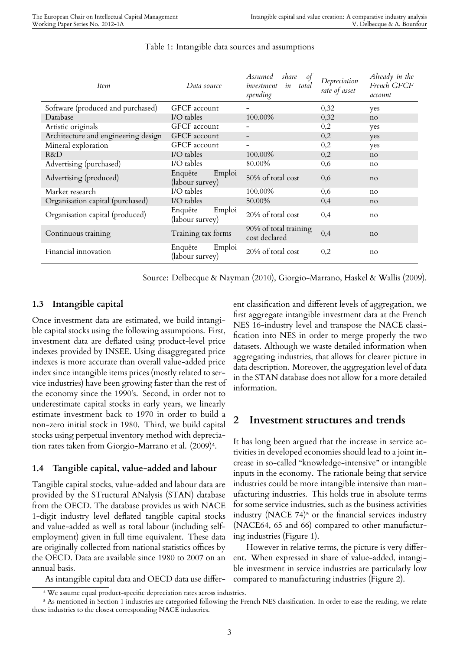| Item                                | Data source                          | Assumed<br>share<br>of<br>in<br>total<br>investment<br>spending | Depreciation<br>rate of asset | Already in the<br>French GFCF<br>account |
|-------------------------------------|--------------------------------------|-----------------------------------------------------------------|-------------------------------|------------------------------------------|
| Software (produced and purchased)   | <b>GFCF</b> account                  |                                                                 | 0,32                          | yes                                      |
| Database                            | I/O tables                           | 100.00%                                                         | 0,32                          | no                                       |
| Artistic originals                  | GFCF account                         |                                                                 | 0,2                           | yes                                      |
| Architecture and engineering design | <b>GFCF</b> account                  |                                                                 | 0,2                           | yes                                      |
| Mineral exploration                 | <b>GFCF</b> account                  |                                                                 | 0,2                           | yes                                      |
| R&D                                 | I/O tables                           | 100.00%                                                         | 0,2                           | no                                       |
| Advertising (purchased)             | I/O tables                           | 80.00%                                                          | 0.6                           | no                                       |
| Advertising (produced)              | Enquête<br>Emploi<br>(labour survey) | 50% of total cost                                               | 0.6                           | no                                       |
| Market research                     | I/O tables                           | 100.00%                                                         | 0.6                           | no                                       |
| Organisation capital (purchased)    | I/O tables                           | 50.00%                                                          | 0,4                           | no                                       |
| Organisation capital (produced)     | Enquête<br>Emploi<br>(labour survey) | 20% of total cost                                               | 0,4                           | no                                       |
| Continuous training                 | Training tax forms                   | 90% of total training<br>cost declared                          | 0,4                           | no                                       |
| Financial innovation                | Enquête<br>Emploi<br>(labour survey) | 20% of total cost                                               | 0,2                           | no                                       |

Source: Delbecque & Nayman (2010), Giorgio-Marrano, Haskel & Wallis (2009).

### **1.3 Intangible capital**

Once investment data are estimated, we build intangible capital stocks using the following assumptions. First, investment data are deflated using product-level price indexes provided by INSEE. Using disaggregated price indexes is more accurate than overall value-added price index since intangible items prices (mostly related to service industries) have been growing faster than the rest of the economy since the 1990's. Second, in order not to underestimate capital stocks in early years, we linearly estimate investment back to 1970 in order to build a non-zero initial stock in 1980. Third, we build capital stocks using perpetual inventory method with depreciation rates taken from Giorgio-Marrano et al. (2009)<sup>4</sup>.

### **1.4 Tangible capital, value-added and labour**

Tangible capital stocks, value-added and labour dat[a](#page-3-0) are provided by the STructural ANalysis (STAN) database from the OECD. The database provides us with NACE 1-digit industry level deflated tangible capital stocks and value-added as well as total labour (including selfemployment) given in full time equivalent. These data are originally collected from national statistics offices by the OECD. Data are available since 1980 to 2007 on an annual basis.

ent classification and different levels of aggregation, we first aggregate intangible investment data at the French NES 16-industry level and transpose the NACE classification into NES in order to merge properly the two datasets. Although we waste detailed information when aggregating industries, that allows for clearer picture in data description. Moreover, the aggregation level of data in the STAN database does not allow for a more detailed information.

### **2 Investment structures and trends**

It has long been argued that the increase in service activities in developed economies should lead to a joint increase in so-called "knowledge-intensive" or intangible inputs in the economy. The rationale being that service industries could be more intangible intensive than manufacturing industries. This holds true in absolute terms for some service industries, such as the business activities industry (NACE  $74$ )<sup>5</sup> or the financial services industry (NACE64, 65 and 66) compared to other manufacturing industries (Figure 1).

However in relat[iv](#page-3-1)e terms, the picture is very different. When expressed in share of value-added, intangible investment in service industries are particularly low compared to manufacturing industries (Figure 2).

As intangible capital data and OECD data use differ-

⁴ We assume equal product-specific depreciation rates across industries.

<span id="page-3-1"></span><span id="page-3-0"></span>⁵ As mentioned in Section 1 industries are categorised following the French NES classification. In order to ease the reading, we relate these industries to the closest corresponding NACE industries.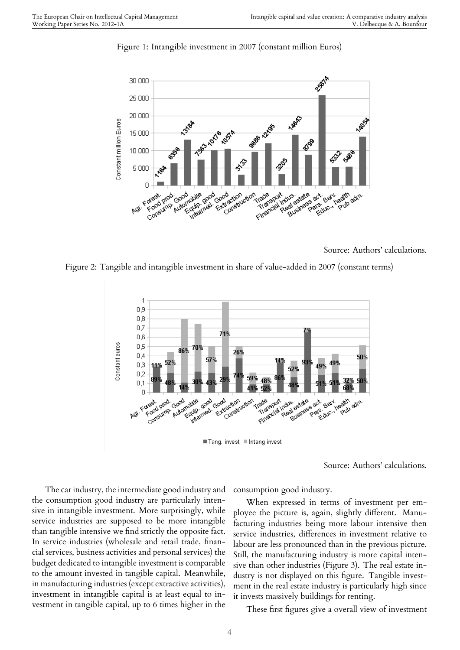

Figure 1: Intangible investment in 2007 (constant million Euros)

Source: Authors' calculations.

Figure 2: Tangible and intangible investment in share of value-added in 2007 (constant terms)



Tang. invest Intang invest

Source: Authors' calculations.

The car industry, the intermediate good industry and the consumption good industry are particularly intensive in intangible investment. More surprisingly, while service industries are supposed to be more intangible than tangible intensive we find strictly the opposite fact. In service industries (wholesale and retail trade, financial services, business activities and personal services) the budget dedicated to intangible investment is comparable to the amount invested in tangible capital. Meanwhile, in manufacturing industries (except extractive activities), investment in intangible capital is at least equal to investment in tangible capital, up to 6 times higher in the

consumption good industry.

When expressed in terms of investment per employee the picture is, again, slightly different. Manufacturing industries being more labour intensive then service industries, differences in investment relative to labour are less pronounced than in the previous picture. Still, the manufacturing industry is more capital intensive than other industries (Figure 3). The real estate industry is not displayed on this figure. Tangible investment in the real estate industry is particularly high since it invests massively buildings for renting.

These first figures give a overall view of investment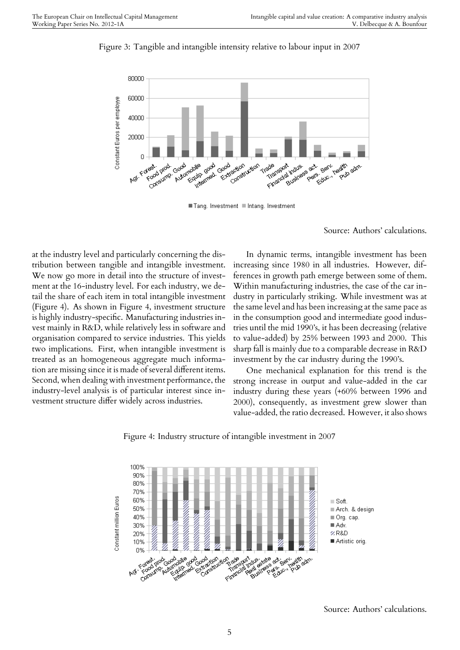

Figure 3: Tangible and intangible intensity relative to labour input in 2007

Tang. Investment III Intang. Investment

Source: Authors' calculations.

at the industry level and particularly concerning the distribution between tangible and intangible investment. We now go more in detail into the structure of investment at the 16-industry level. For each industry, we detail the share of each item in total intangible investment (Figure 4). As shown in Figure 4, investment structure is highly industry-specific. Manufacturing industries invest mainly in R&D, while relatively less in software and organisation compared to service industries. This yields two implications. First, when intangible investment is treated as an homogeneous aggregate much information are missing since it is made of several different items. Second, when dealing with investment performance, the industry-level analysis is of particular interest since investment structure differ widely across industries.

In dynamic terms, intangible investment has been increasing since 1980 in all industries. However, differences in growth path emerge between some of them. Within manufacturing industries, the case of the car industry in particularly striking. While investment was at the same level and has been increasing at the same pace as in the consumption good and intermediate good industries until the mid 1990's, it has been decreasing (relative to value-added) by 25% between 1993 and 2000. This sharp fall is mainly due to a comparable decrease in R&D investment by the car industry during the 1990's.

One mechanical explanation for this trend is the strong increase in output and value-added in the car industry during these years (+60% between 1996 and 2000), consequently, as investment grew slower than value-added, the ratio decreased. However, it also shows



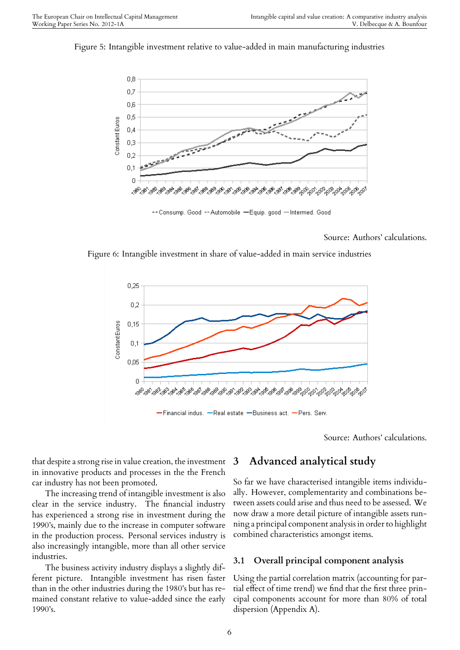Figure 5: Intangible investment relative to value-added in main manufacturing industries



-- Consump. Good -- Automobile -Equip. good -Intermed. Good

Source: Authors' calculations.

Figure 6: Intangible investment in share of value-added in main service industries



Source: Authors' calculations.

that despite a strong rise in value creation, the investment in innovative products and processes in the the French car industry has not been promoted.

The increasing trend of intangible investment is also clear in the service industry. The financial industry has experienced a strong rise in investment during the 1990's, mainly due to the increase in computer software in the production process. Personal services industry is also increasingly intangible, more than all other service industries.

The business activity industry displays a slightly different picture. Intangible investment has risen faster than in the other industries during the 1980's but has remained constant relative to value-added since the early 1990's.

### **3 Advanced analytical study**

So far we have characterised intangible items individually. However, complementarity and combinations between assets could arise and thus need to be assessed. We now draw a more detail picture of intangible assets running a principal component analysis in order to highlight combined characteristics amongst items.

### **3.1 Overall principal component analysis**

Using the partial correlation matrix (accounting for partial effect of time trend) we find that the first three principal components account for more than 80% of total dispersion (Appendix A).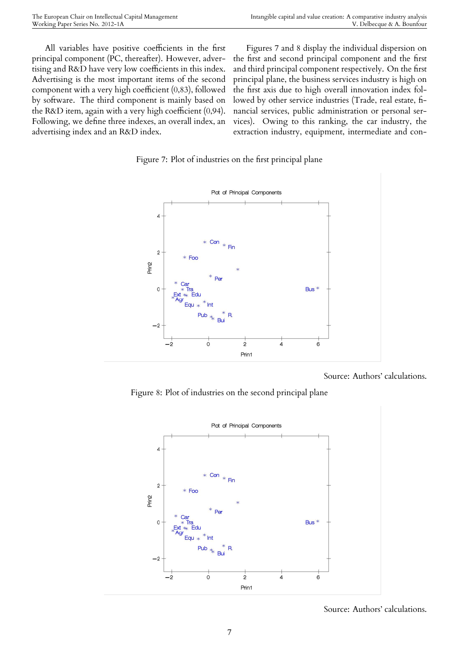All variables have positive coefficients in the first principal component (PC, thereafter). However, advertising and R&D have very low coefficients in this index. Advertising is the most important items of the second component with a very high coefficient (0,83), followed by software. The third component is mainly based on the R&D item, again with a very high coefficient (0,94). Following, we define three indexes, an overall index, an advertising index and an R&D index.

Figures 7 and 8 display the individual dispersion on the first and second principal component and the first and third principal component respectively. On the first principal plane, the business services industry is high on the first axis due to high overall innovation index followed by other service industries (Trade, real estate, financial services, public administration or personal services). Owing to this ranking, the car industry, the extraction industry, equipment, intermediate and con-

Figure 7: Plot of industries on the first principal plane



Source: Authors' calculations.

Figure 8: Plot of industries on the second principal plane



Source: Authors' calculations.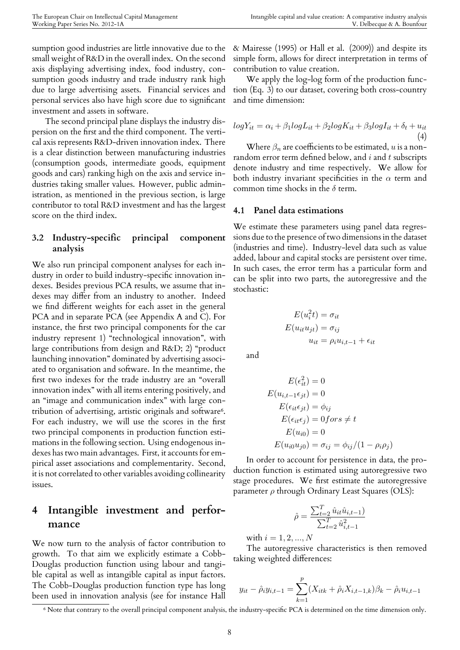sumption good industries are little innovative due to the small weight of R&D in the overall index. On the second axis displaying advertising index, food industry, consumption goods industry and trade industry rank high due to large advertising assets. Financial services and personal services also have high score due to significant investment and assets in software.

The second principal plane displays the industry dispersion on the first and the third component. The vertical axis represents R&D-driven innovation index. There is a clear distinction between manufacturing industries (consumption goods, intermediate goods, equipment goods and cars) ranking high on the axis and service industries taking smaller values. However, public administration, as mentioned in the previous section, is large contributor to total R&D investment and has the largest score on the third index.

### **3.2 Industry-specific principal component analysis**

We also run principal component analyses for each industry in order to build industry-specific innovation indexes. Besides previous PCA results, we assume that indexes may differ from an industry to another. Indeed we find different weights for each asset in the general PCA and in separate PCA (see Appendix A and C). For instance, the first two principal components for the car industry represent 1) "technological innovation", with large contributions from design and R&D; 2) "product launching innovation" dominated by advertising associated to organisation and software. In the meantime, the first two indexes for the trade industry are an "overall innovation index" with all items entering positively, and an "image and communication index" with large contribution of advertising, artistic originals and software<sup>6</sup>. For each industry, we will use the scores in the first two principal components in production function estimations in the following section. Using endogenous i[n](#page-8-0)dexes has two main advantages. First, it accounts for empirical asset associations and complementarity. Second, it is not correlated to other variables avoiding collinearity issues.

### **4 Intangible investment and performance**

We now turn to the analysis of factor contribution to growth. To that aim we explicitly estimate a Cobb-Douglas production function using labour and tangible capital as well as intangible capital as input factors. The Cobb-Douglas production function type has long been used in innovation analysis (see for instance Hall

& Mairesse (1995) or Hall et al. (2009)) and despite its simple form, allows for direct interpretation in terms of contribution to value creation.

We apply the log-log form of the production function (Eq. 3) to our dataset, covering both cross-country and time dimension:

$$
logY_{it} = \alpha_i + \beta_1 logL_{it} + \beta_2 logK_{it} + \beta_3 logI_{it} + \delta_t + u_{it}
$$
  
(4)

Where  $\beta_n$  are coefficients to be estimated,  $u$  is a nonrandom error term defined below, and *i* and *t* subscripts denote industry and time respectively. We allow for both industry invariant specificities in the  $\alpha$  term and common time shocks in the *δ* term.

#### **4.1 Panel data estimations**

We estimate these parameters using panel data regressions due to the presence of two dimensions in the dataset (industries and time). Industry-level data such as value added, labour and capital stocks are persistent over time. In such cases, the error term has a particular form and can be split into two parts, the autoregressive and the stochastic:

$$
E(u_i^2 t) = \sigma_{it}
$$
  
\n
$$
E(u_{it}u_{jt}) = \sigma_{ij}
$$
  
\n
$$
u_{it} = \rho_i u_{i,t-1} + \epsilon_{it}
$$

and

$$
E(\epsilon_{it}^2) = 0
$$
  
\n
$$
E(u_{i,t-1}\epsilon_{jt}) = 0
$$
  
\n
$$
E(\epsilon_{it}\epsilon_{jt}) = \phi_{ij}
$$
  
\n
$$
E(\epsilon_{it}\epsilon_{j}) = 0 \text{ for } s \neq t
$$
  
\n
$$
E(u_{i0}) = 0
$$
  
\n
$$
E(u_{i0}u_{j0}) = \sigma_{ij} = \phi_{ij}/(1 - \rho_{i}\rho_{j})
$$

In order to account for persistence in data, the production function is estimated using autoregressive two stage procedures. We first estimate the autoregressive parameter *ρ* through Ordinary Least Squares (OLS):

$$
\hat{\rho} = \frac{\sum_{t=2}^{T} \hat{u}_{it} \hat{u}_{i,t-1}}{\sum_{t=2}^{T} \hat{u}_{i,t-1}^2}
$$

with  $i = 1, 2, ..., N$ 

The autoregressive characteristics is then removed taking weighted differences:

$$
y_{it} - \hat{\rho}_i y_{i,t-1} = \sum_{k=1}^p (X_{itk} + \hat{\rho}_i X_{i,t-1,k}) \beta_k - \hat{\rho}_i u_{i,t-1}
$$

<span id="page-8-0"></span>⁶ Note that contrary to the overall principal component analysis, the industry-specific PCA is determined on the time dimension only.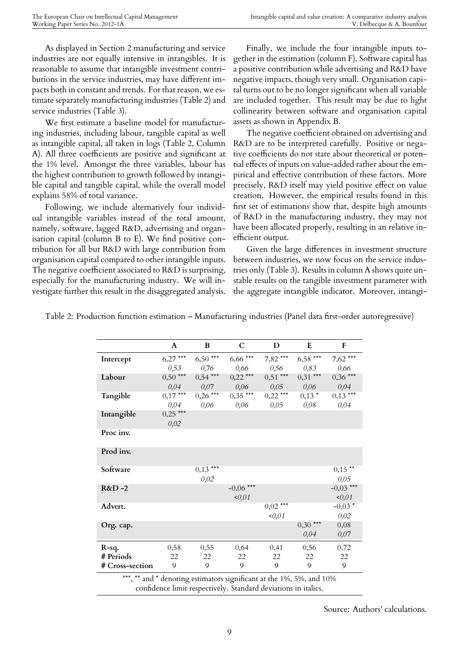As displayed in Section 2 manufacturing and service industries are not equally intensive in intangibles. It is reasonable to assume that intangible investment contributions in the service industries, may have different impacts both in constant and trends. For that reason, we estimate separately manufacturing industries (Table 2) and service industries (Table 3).

We first estimate a baseline model for manufacturing industries, including labour, tangible capital as well as intangible capital, all taken in logs (Table 2, Column A). All three coefficients are positive and significant at the 1% level. Amongst the three variables, labour has the highest contribution to growth followed by intangible capital and tangible capital, while the overall model explains 58% of total variance.

Following, we include alternatively four individual intangible variables instead of the total amount, namely, software, lagged R&D, advertising and organisation capital (column B to E). We find positive contribution for all but R&D with large contribution from organisation capital compared to other intangible inputs. The negative coefficient associated to R&D is surprising, especially for the manufacturing industry. We will investigate further this result in the disaggregated analysis.

Finally, we include the four intangible inputs together in the estimation (column F). Software capital has a positive contribution while advertising and R&D have negative impacts, though very small. Organisation capital turns out to be no longer significant when all variable are included together. This result may be due to light collinearity between software and organisation capital assets as shown in Appendix B.

The negative coefficient obtained on advertising and R&D are to be interpreted carefully. Positive or negative coefficients do not state about theoretical or potential effects of inputs on value-added rather about the empirical and effective contribution of these factors. More precisely, R&D itself may yield positive effect on value creation. However, the empirical results found in this first set of estimations show that, despite high amounts of R&D in the manufacturing industry, they may not have been allocated properly, resulting in an relative inefficient output.

Given the large differences in investment structure between industries, we now focus on the service industries only (Table 3). Results in column A shows quite unstable results on the tangible investment parameter with the aggregate intangible indicator. Moreover, intangi-

Table 2: Production function estimation – Manufacturing industries (Panel data first-order autoregressive)

|                 | A                                                                    | B          | $\mathbf C$ | D          | E          | F           |  |  |
|-----------------|----------------------------------------------------------------------|------------|-------------|------------|------------|-------------|--|--|
| Intercept       | $6,27***$                                                            | $6,50***$  | $6,66***$   | $7,82***$  | $6,58***$  | $7,62***$   |  |  |
|                 | 0,53                                                                 | 0,76       | 0,66        | 0,56       | 0,83       | 0,66        |  |  |
| Labour          | $0,50***$                                                            | $0,54***$  | $0,22$ ***  | $0,51***$  | $0,31$ *** | $0,36$ ***  |  |  |
|                 | 0,04                                                                 | 0,07       | 0,06        | 0,05       | 0,06       | 0,04        |  |  |
| Tangible        | $0,17***$                                                            | $0,26$ *** | $0,35***$   | $0,22$ *** | $0,13*$    | $0,13***$   |  |  |
|                 | 0.04                                                                 | 0,06       | 0,06        | 0,05       | 0,08       | 0,04        |  |  |
| Intangible      | $0,25$ ***                                                           |            |             |            |            |             |  |  |
|                 | 0,02                                                                 |            |             |            |            |             |  |  |
| Proc inv.       |                                                                      |            |             |            |            |             |  |  |
| Prod inv.       |                                                                      |            |             |            |            |             |  |  |
| Software        |                                                                      | $0,13***$  |             |            |            | $0,15***$   |  |  |
|                 |                                                                      | 0,02       |             |            |            | 0,05        |  |  |
| $R&D-2$         |                                                                      |            | $-0,06$ *** |            |            | $-0,03$ *** |  |  |
|                 |                                                                      |            | <0,01       |            |            | 0,01        |  |  |
| Advert.         |                                                                      |            |             | $0,02$ *** |            | $-0,03*$    |  |  |
|                 |                                                                      |            |             | <0,01      |            | 0,02        |  |  |
| Org. cap.       |                                                                      |            |             |            | $0,30$ *** | 0,08        |  |  |
|                 |                                                                      |            |             |            | 0,04       | 0,07        |  |  |
| $R-sq.$         | 0,58                                                                 | 0,55       | 0,64        | 0,41       | 0,56       | 0,72        |  |  |
| # Periods       | 22                                                                   | 22         | 22          | 22         | 22         | 22          |  |  |
| # Cross-section | 9                                                                    | 9          | 9           | 9          | 9          | 9           |  |  |
|                 | ***, ** and * denoting estimators significant at the 1%, 5%, and 10% |            |             |            |            |             |  |  |

confidence limit respectively. Standard deviations in italics.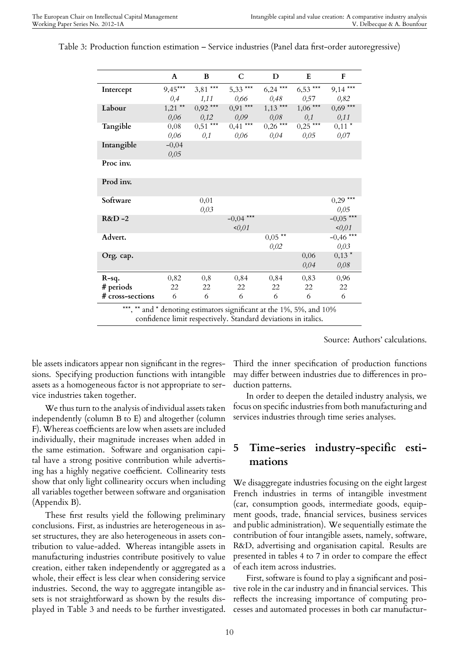|                  | A         | B          | C               | $\mathbf D$ | E               | $\mathbf F$ |
|------------------|-----------|------------|-----------------|-------------|-----------------|-------------|
| Intercept        | $9,45***$ | $3,81***$  | $5,33$ ***      | $6,24***$   | $6,53***$       | $9,14***$   |
|                  | 0,4       | 1,11       | 0,66            | 0,48        | 0,57            | 0,82        |
| Labour           | $1,21$ ** | $0,92$ *** | $0,91***$       | $1,13$ ***  | $1,06***$       | $0,69***$   |
|                  | 0,06      | 0,12       | 0,09            | 0,08        | 0,1             | 0,11        |
| Tangible         | 0,08      | $0,51***$  | $0,41***$       | $0,26$ ***  | $0,25***$       | $0,11*$     |
|                  | 0,06      | 0,1        | 0,06            | 0,04        | 0,05            | 0,07        |
| Intangible       | $-0,04$   |            |                 |             |                 |             |
|                  | 0,05      |            |                 |             |                 |             |
| Proc inv.        |           |            |                 |             |                 |             |
| Prod inv.        |           |            |                 |             |                 |             |
| Software         |           | 0,01       |                 |             |                 | $0,29***$   |
|                  |           | 0,03       |                 |             |                 | 0,05        |
| $R&D-2$          |           |            | $-0.04$ ***     |             |                 | $-0.05$ *** |
|                  |           |            | 0,01            |             |                 | 0,01        |
| Advert.          |           |            |                 | $0,05$ **   |                 | $-0,46$ *** |
|                  |           |            |                 | 0,02        |                 | 0,03        |
| Org. cap.        |           |            |                 |             | 0,06            | $0,13*$     |
|                  |           |            |                 |             | 0,04            | 0,08        |
| $R-sq.$          | 0,82      | 0,8        | 0,84            | 0,84        | 0,83            | 0,96        |
| # periods        | 22        | 22         | 22              | 22          | 22              | 22          |
| # cross-sections | 6         | 6          | 6               | 6           | 6               | 6           |
|                  |           |            | $\cdot \cdot c$ |             | $1.401 - 1.400$ |             |

Table 3: Production function estimation – Service industries (Panel data first-order autoregressive)

and  $*$  denoting estimators significant at the 1%, 5%, and 10% confidence limit respectively. Standard deviations in italics.

Source: Authors' calculations.

ble assets indicators appear non significant in the regressions. Specifying production functions with intangible assets as a homogeneous factor is not appropriate to service industries taken together.

We thus turn to the analysis of individual assets taken independently (column B to E) and altogether (column F). Whereas coefficients are low when assets are included individually, their magnitude increases when added in the same estimation. Software and organisation capital have a strong positive contribution while advertising has a highly negative coefficient. Collinearity tests show that only light collinearity occurs when including all variables together between software and organisation (Appendix B).

These first results yield the following preliminary conclusions. First, as industries are heterogeneous in asset structures, they are also heterogeneous in assets contribution to value-added. Whereas intangible assets in manufacturing industries contribute positively to value creation, either taken independently or aggregated as a whole, their effect is less clear when considering service industries. Second, the way to aggregate intangible assets is not straightforward as shown by the results displayed in Table 3 and needs to be further investigated. Third the inner specification of production functions may differ between industries due to differences in production patterns.

In order to deepen the detailed industry analysis, we focus on specific industries from both manufacturing and services industries through time series analyses.

### **5 Time-series industry-specific estimations**

We disaggregate industries focusing on the eight largest French industries in terms of intangible investment (car, consumption goods, intermediate goods, equipment goods, trade, financial services, business services and public administration). We sequentially estimate the contribution of four intangible assets, namely, software, R&D, advertising and organisation capital. Results are presented in tables 4 to 7 in order to compare the effect of each item across industries.

First, software is found to play a significant and positive role in the car industry and in financial services. This reflects the increasing importance of computing processes and automated processes in both car manufactur-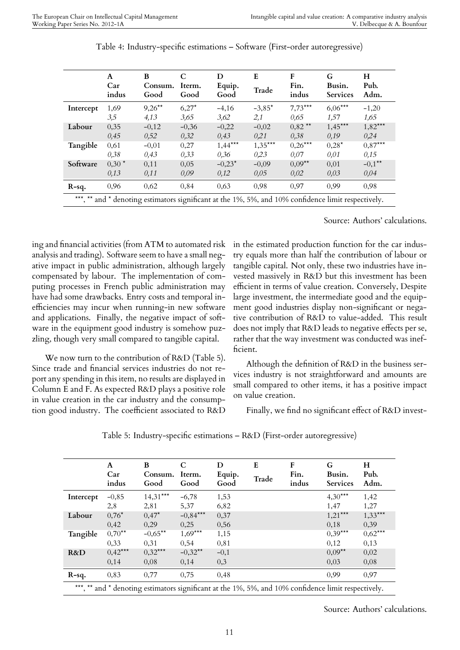|           | A<br>Car<br>indus | B<br>Consum.<br>Good                                                                          | Iterm.<br>Good | D<br>Equip.<br>Good | E<br>Trade | F<br>Fin.<br>indus   | G<br>Busin.<br><b>Services</b> | H<br>Pub.<br>Adm. |
|-----------|-------------------|-----------------------------------------------------------------------------------------------|----------------|---------------------|------------|----------------------|--------------------------------|-------------------|
| Intercept | 1,69              | $9,26***$                                                                                     | $6,27*$        | $-4,16$             | $-3,85*$   | $7,73***$            | $6,06***$                      | $-1,20$           |
|           | 3,5               | 4.13                                                                                          | 3.65           | 3.62                | 2,1        | 0.65                 | 1,57                           | 1,65              |
| Labour    | 0,35              | $-0.12$                                                                                       | $-0.36$        | $-0.22$             | $-0.02$    | $0.82$ <sup>**</sup> | $1,45***$                      | $1,82***$         |
|           | 0.45              | 0,52                                                                                          | 0,32           | 0,43                | 0.21       | 0.38                 | 0.19                           | 0.24              |
| Tangible  | 0,61              | $-0,01$                                                                                       | 0.27           | $1,44***$           | $1,35***$  | $0,26***$            | $0.28*$                        | $0.87***$         |
|           | 0.38              | 0,43                                                                                          | 0.33           | 0.36                | 0.23       | 0.07                 | 0,01                           | 0.15              |
| Software  | $0.30*$           | 0.11                                                                                          | 0.05           | $-0.23*$            | $-0,09$    | $0.09**$             | 0.01                           | $-0.1***$         |
|           | 0.13              | 0.11                                                                                          | 0.09           | 0,12                | 0,05       | 0,02                 | 0,03                           | 0,04              |
| $R-sq.$   | 0,96              | 0,62                                                                                          | 0,84           | 0,63                | 0,98       | 0,97                 | 0.99                           | 0,98              |
| *** **    |                   | and $*$ denoting estimators significant at the 1%, 5%, and 10% confidence limit respectively. |                |                     |            |                      |                                |                   |

Table 4: Industry-specific estimations – Software (First-order autoregressive)

Source: Authors' calculations.

ing and financial activities (from ATM to automated risk analysis and trading). Software seem to have a small negative impact in public administration, although largely compensated by labour. The implementation of computing processes in French public administration may have had some drawbacks. Entry costs and temporal inefficiencies may incur when running-in new software and applications. Finally, the negative impact of software in the equipment good industry is somehow puzzling, though very small compared to tangible capital.

We now turn to the contribution of R&D (Table 5). Since trade and financial services industries do not report any spending in this item, no results are displayed in Column E and F. As expected R&D plays a positive role in value creation in the car industry and the consumption good industry. The coefficient associated to R&D

in the estimated production function for the car industry equals more than half the contribution of labour or tangible capital. Not only, these two industries have invested massively in R&D but this investment has been efficient in terms of value creation. Conversely, Despite large investment, the intermediate good and the equipment good industries display non-significant or negative contribution of R&D to value-added. This result does not imply that R&D leads to negative effects per se, rather that the way investment was conducted was inefficient.

Although the definition of R&D in the business services industry is not straightforward and amounts are small compared to other items, it has a positive impact on value creation.

Finally, we find no significant effect of R&D invest-

| Table 5: Industry-specific estimations - R&D (First-order autoregressive) |  |
|---------------------------------------------------------------------------|--|
|---------------------------------------------------------------------------|--|

|           | A<br>Car<br>indus | B<br>Consum.<br>Good | C<br>Iterm.<br>Good | D<br>Equip.<br>Good | E<br>Trade                                                                                          | F<br>Fin.<br>indus | G<br>Busin.<br>Services | H<br>Pub.<br>Adm. |  |  |  |  |  |
|-----------|-------------------|----------------------|---------------------|---------------------|-----------------------------------------------------------------------------------------------------|--------------------|-------------------------|-------------------|--|--|--|--|--|
| Intercept | $-0,85$           | $14,31***$           | $-6,78$             | 1,53                |                                                                                                     |                    | $4,30***$               | 1,42              |  |  |  |  |  |
|           | 2,8               | 2,81                 | 5,37                | 6,82                |                                                                                                     |                    | 1,47                    | 1,27              |  |  |  |  |  |
| Labour    | $0,76*$           | $0.47*$              | $-0.84***$          | 0,37                |                                                                                                     |                    | $1,21***$               | $1,33***$         |  |  |  |  |  |
|           | 0,42              | 0,29                 | 0,25                | 0.56                |                                                                                                     |                    | 0,18                    | 0,39              |  |  |  |  |  |
| Tangible  | $0,70***$         | $-0,65**$            | $1,69***$           | 1,15                |                                                                                                     |                    | $0,39***$               | $0,62***$         |  |  |  |  |  |
|           | 0,33              | 0,31                 | 0,54                | 0,81                |                                                                                                     |                    | 0,12                    | 0,13              |  |  |  |  |  |
| R&D       | $0.42***$         | $0,32***$            | $-0,32**$           | $-0,1$              |                                                                                                     |                    | $0,09**$                | 0,02              |  |  |  |  |  |
|           | 0,14              | 0.08                 | 0,14                | 0,3                 |                                                                                                     |                    | 0,03                    | 0.08              |  |  |  |  |  |
| $R-sq.$   | 0,83              | 0,77                 | 0,75                | 0,48                |                                                                                                     |                    | 0.99                    | 0,97              |  |  |  |  |  |
|           |                   |                      |                     |                     | ***, ** and * denoting estimators significant at the 1%, 5%, and 10% confidence limit respectively. |                    |                         |                   |  |  |  |  |  |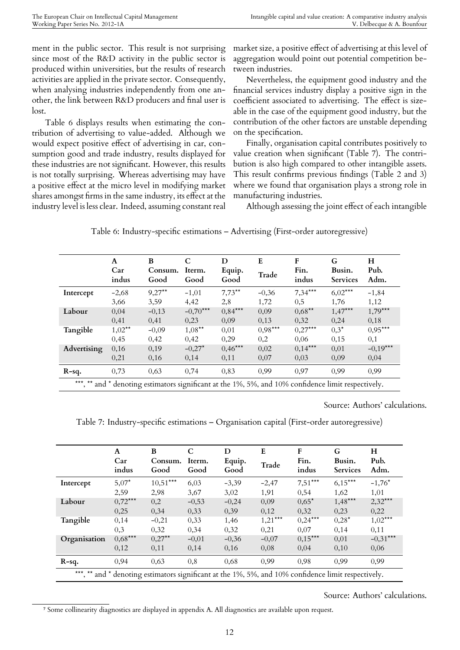ment in the public sector. This result is not surprising since most of the R&D activity in the public sector is produced within universities, but the results of research activities are applied in the private sector. Consequently, when analysing industries independently from one another, the link between R&D producers and final user is lost.

Table 6 displays results when estimating the contribution of advertising to value-added. Although we would expect positive effect of advertising in car, consumption good and trade industry, results displayed for these industries are not significant. However, this results is not totally surprising. Whereas advertising may have a positive effect at the micro level in modifying market shares amongst firms in the same industry, its effect at the industry level is less clear. Indeed, assuming constant real

market size, a positive effect of advertising at this level of aggregation would point out potential competition between industries.

Nevertheless, the equipment good industry and the financial services industry display a positive sign in the coefficient associated to advertising. The effect is sizeable in the case of the equipment good industry, but the contribution of the other factors are unstable depending on the specification.

Finally, organisation capital contributes positively to value creation when significant (Table 7). The contribution is also high compared to other intangible assets. This result confirms previous findings (Table 2 and 3) where we found that organisation plays a strong role in manufacturing industries.

Although assessing the joint effect of each intangible

|             | $\mathbf{A}$<br>Car<br>indus                                                                        | B<br>Consum.<br>Good | C<br>Iterm.<br>Good | D<br>Equip.<br>Good | E<br>Trade | F<br>Fin.<br>indus | G<br>Busin.<br><b>Services</b> | H<br>Pub.<br>Adm. |
|-------------|-----------------------------------------------------------------------------------------------------|----------------------|---------------------|---------------------|------------|--------------------|--------------------------------|-------------------|
| Intercept   | $-2,68$                                                                                             | $9,27**$             | $-1,01$             | $7,73**$            | $-0,36$    | $7,34***$          | $6,02***$                      | $-1,84$           |
|             | 3,66                                                                                                | 3,59                 | 4,42                | 2,8                 | 1,72       | $0.5^{\circ}$      | 1,76                           | 1,12              |
| Labour      | 0,04                                                                                                | $-0,13$              | $-0,70***$          | $0,84***$           | 0,09       | $0.68***$          | $1,47***$                      | $1,79***$         |
|             | 0,41                                                                                                | 0,41                 | 0,23                | 0,09                | 0,13       | 0,32               | 0,24                           | 0,18              |
| Tangible    | $1,02***$                                                                                           | $-0,09$              | $1,08***$           | 0,01                | $0,98***$  | $0,27***$          | $0,3^{\star}$                  | $0.95***$         |
|             | 0,45                                                                                                | 0,42                 | 0,42                | 0,29                | 0,2        | 0,06               | 0,15                           | 0,1               |
| Advertising | 0,16                                                                                                | 0.19                 | $-0,27^*$           | $0,46***$           | 0,02       | $0,14***$          | 0,01                           | $-0,19***$        |
|             | 0,21                                                                                                | 0,16                 | 0,14                | 0,11                | 0,07       | 0,03               | 0,09                           | 0,04              |
| $R-sq.$     | 0,73                                                                                                | 0,63                 | 0.74                | 0,83                | 0,99       | 0.97               | 0.99                           | 0.99              |
|             | ***, ** and * denoting estimators significant at the 1%, 5%, and 10% confidence limit respectively. |                      |                     |                     |            |                    |                                |                   |

Table 6: Industry-specific estimations – Advertising (First-order autoregressive)

Source: Authors' calculations.

Table 7: Industry-specific estimations – Organisation capital (First-order autoregressive)

|              | A<br>Car<br>indus | B<br>Consum.<br>Good                                                                        | Iterm.<br>Good | D<br>Equip.<br>Good | E<br>Trade | F<br>Fin.<br>indus | G<br>Busin.<br><b>Services</b> | Н<br>Pub.<br>Adm. |
|--------------|-------------------|---------------------------------------------------------------------------------------------|----------------|---------------------|------------|--------------------|--------------------------------|-------------------|
| Intercept    | $5,07*$           | $10,51***$                                                                                  | 6.03           | $-3,39$             | $-2,47$    | $7,51***$          | $6,15***$                      | $-1,76*$          |
|              | 2.59              | 2.98                                                                                        | 3.67           | 3,02                | 1.91       | 0.54               | 1.62                           | 1,01              |
| Labour       | $0,72***$         | 0,2                                                                                         | $-0,53$        | $-0.24$             | 0.09       | $0.65*$            | $1,48***$                      | $2,32***$         |
|              | 0.25              | 0,34                                                                                        | 0,33           | 0,39                | 0.12       | 0.32               | 0.23                           | 0.22              |
| Tangible     | 0,14              | $-0.21$                                                                                     | 0.33           | 1,46                | $1,21***$  | $0.24***$          | $0.28*$                        | $1,02***$         |
|              | 0.3               | 0.32                                                                                        | 0.34           | 0,32                | 0.21       | 0.07               | 0.14                           | 0.11              |
| Organisation | $0.68***$         | $0.27**$                                                                                    | $-0,01$        | $-0.36$             | $-0,07$    | $0.15***$          | 0.01                           | $-0.31***$        |
|              | 0,12              | 0,11                                                                                        | 0,14           | 0,16                | 0,08       | 0,04               | 0,10                           | 0,06              |
| $R-sq.$      | 0.94              | 0,63                                                                                        | 0,8            | 0.68                | 0.99       | 0.98               | 0.99                           | 0.99              |
| *** **       |                   | and * denoting estimators significant at the 1%, 5%, and 10% confidence limit respectively. |                |                     |            |                    |                                |                   |

<span id="page-12-0"></span>⁷ Some collinearity diagnostics are displayed in appendix A. All diagnostics are available upon request.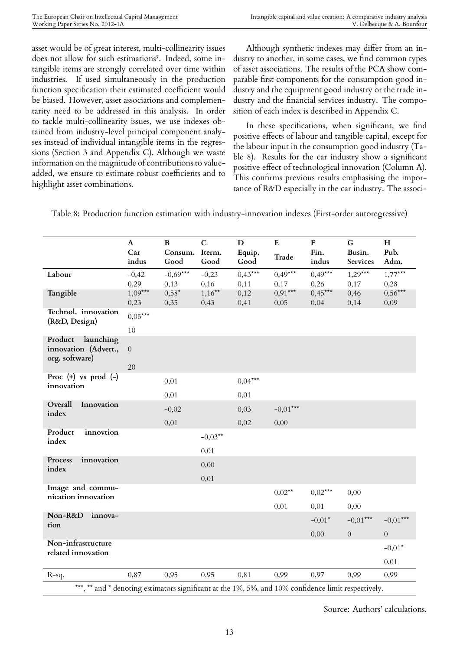asset would be of great interest, multi-collinearity issues does not allow for such estimations<sup>7</sup>. Indeed, some intangible items are strongly correlated over time within industries. If used simultaneously in the production function specification their estimat[ed](#page-12-0) coefficient would be biased. However, asset associations and complementarity need to be addressed in this analysis. In order to tackle multi-collinearity issues, we use indexes obtained from industry-level principal component analyses instead of individual intangible items in the regressions (Section 3 and Appendix C). Although we waste information on the magnitude of contributions to valueadded, we ensure to estimate robust coefficients and to highlight asset combinations.

Although synthetic indexes may differ from an industry to another, in some cases, we find common types of asset associations. The results of the PCA show comparable first components for the consumption good industry and the equipment good industry or the trade industry and the financial services industry. The composition of each index is described in Appendix C.

In these specifications, when significant, we find positive effects of labour and tangible capital, except for the labour input in the consumption good industry (Table 8). Results for the car industry show a significant positive effect of technological innovation (Column A). This confirms previous results emphasising the importance of R&D especially in the car industry. The associ-

|                                                                                                     | $\mathbf{A}$<br>Car<br>indus | $\, {\bf B}$<br>Consum.<br>Good | $\mathbf C$<br>Iterm.<br>Good | $\mathbf D$<br>Equip.<br>Good | ${\bf E}$<br>Trade | ${\bf F}$<br>Fin.<br>indus | G<br>Busin.<br>Services | H<br>Pub.<br>Adm. |
|-----------------------------------------------------------------------------------------------------|------------------------------|---------------------------------|-------------------------------|-------------------------------|--------------------|----------------------------|-------------------------|-------------------|
| Labour                                                                                              | $-0,42$<br>0,29              | $-0,69***$<br>0,13              | $-0,23$<br>0,16               | $0,43***$<br>0,11             | $0,49***$<br>0,17  | $0,49***$<br>0,26          | $1,29***$<br>0,17       | $1,77***$<br>0,28 |
| Tangible                                                                                            | $1,09***$<br>0,23            | $0,58*$<br>0,35                 | $1,16***$<br>0,43             | 0,12<br>0,41                  | $0.91***$<br>0,05  | $0,45***$<br>0,04          | 0,46<br>0,14            | $0,56***$<br>0,09 |
| Technol. innovation<br>(R&D, Design)                                                                | $0,05***$<br>$10\,$          |                                 |                               |                               |                    |                            |                         |                   |
| launching<br>Product<br>innovation (Advert.,<br>org. software)                                      | $\boldsymbol{0}$             |                                 |                               |                               |                    |                            |                         |                   |
|                                                                                                     | 20                           |                                 |                               |                               |                    |                            |                         |                   |
| Proc $(+)$ vs prod $(-)$<br>innovation                                                              |                              | 0,01                            |                               | $0,04***$                     |                    |                            |                         |                   |
|                                                                                                     |                              | 0,01                            |                               | 0,01                          |                    |                            |                         |                   |
| Overall<br>Innovation<br>index                                                                      |                              | $-0,02$                         |                               | 0,03                          | $-0.01***$         |                            |                         |                   |
|                                                                                                     |                              | 0,01                            |                               | 0,02                          | 0,00               |                            |                         |                   |
| Product<br>innovtion                                                                                |                              |                                 | $-0.03***$                    |                               |                    |                            |                         |                   |
| index                                                                                               |                              |                                 | 0,01                          |                               |                    |                            |                         |                   |
| Process<br>innovation                                                                               |                              |                                 | 0,00                          |                               |                    |                            |                         |                   |
| index                                                                                               |                              |                                 | 0,01                          |                               |                    |                            |                         |                   |
| Image and commu-                                                                                    |                              |                                 |                               |                               | $0.02**$           | $0,02***$                  | 0,00                    |                   |
| nication innovation                                                                                 |                              |                                 |                               |                               |                    |                            |                         |                   |
| Non-R&D<br>innova-                                                                                  |                              |                                 |                               |                               | 0,01               | 0,01                       | 0,00                    |                   |
| tion                                                                                                |                              |                                 |                               |                               |                    | $-0.01*$                   | $-0.01***$              | $-0.01***$        |
|                                                                                                     |                              |                                 |                               |                               |                    | 0,00                       | $\boldsymbol{0}$        | $\boldsymbol{0}$  |
| Non-infrastructure<br>related innovation                                                            |                              |                                 |                               |                               |                    |                            |                         | $-0.01*$          |
|                                                                                                     |                              |                                 |                               |                               |                    |                            |                         | 0,01              |
| R-sq.                                                                                               | 0,87                         | 0,95                            | 0,95                          | 0,81                          | 0,99               | 0,97                       | 0,99                    | 0,99              |
| ***, ** and * denoting estimators significant at the 1%, 5%, and 10% confidence limit respectively. |                              |                                 |                               |                               |                    |                            |                         |                   |

Table 8: Production function estimation with industry-innovation indexes (First-order autoregressive)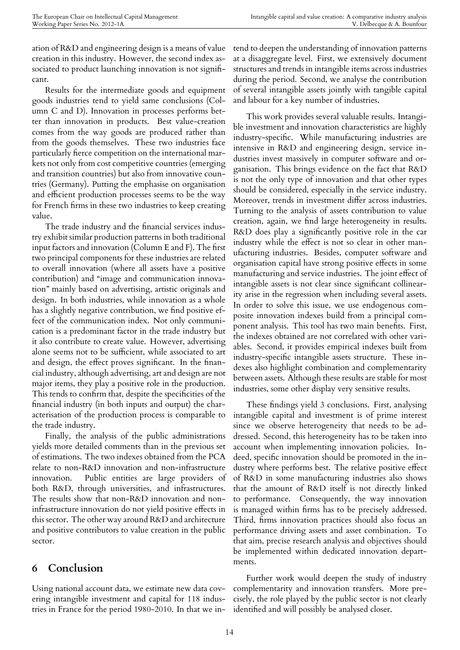ation of R&D and engineering design is a means of value creation in this industry. However, the second index associated to product launching innovation is not significant.

Results for the intermediate goods and equipment goods industries tend to yield same conclusions (Column C and D). Innovation in processes performs better than innovation in products. Best value-creation comes from the way goods are produced rather than from the goods themselves. These two industries face particularly fierce competition on the international markets not only from cost competitive countries (emerging and transition countries) but also from innovative countries (Germany). Putting the emphasise on organisation and efficient production processes seems to be the way for French firms in these two industries to keep creating value.

The trade industry and the financial services industry exhibit similar production patterns in both traditional input factors and innovation (Column E and F). The first two principal components for these industries are related to overall innovation (where all assets have a positive contribution) and "image and communication innovation" mainly based on advertising, artistic originals and design. In both industries, while innovation as a whole has a slightly negative contribution, we find positive effect of the communication index. Not only communication is a predominant factor in the trade industry but it also contribute to create value. However, advertising alone seems not to be sufficient, while associated to art and design, the effect proves significant. In the financial industry, although advertising, art and design are not major items, they play a positive role in the production. This tends to confirm that, despite the specificities of the financial industry (in both inputs and output) the characterisation of the production process is comparable to the trade industry.

Finally, the analysis of the public administrations yields more detailed comments than in the previous set of estimations. The two indexes obtained from the PCA relate to non-R&D innovation and non-infrastructure innovation. Public entities are large providers of both R&D, through universities, and infrastructures. The results show that non-R&D innovation and noninfrastructure innovation do not yield positive effects in this sector. The other way around R&D and architecture and positive contributors to value creation in the public sector.

### **6 Conclusion**

Using national account data, we estimate new data covering intangible investment and capital for 118 industries in France for the period 1980-2010. In that we intend to deepen the understanding of innovation patterns at a disaggregate level. First, we extensively document structures and trends in intangible items across industries during the period. Second, we analyse the contribution of several intangible assets jointly with tangible capital and labour for a key number of industries.

This work provides several valuable results. Intangible investment and innovation characteristics are highly industry-specific. While manufacturing industries are intensive in R&D and engineering design, service industries invest massively in computer software and organisation. This brings evidence on the fact that R&D is not the only type of innovation and that other types should be considered, especially in the service industry. Moreover, trends in investment differ across industries. Turning to the analysis of assets contribution to value creation, again, we find large heterogeneity in results. R&D does play a significantly positive role in the car industry while the effect is not so clear in other manufacturing industries. Besides, computer software and organisation capital have strong positive effects in some manufacturing and service industries. The joint effect of intangible assets is not clear since significant collinearity arise in the regression when including several assets. In order to solve this issue, we use endogenous composite innovation indexes build from a principal component analysis. This tool has two main benefits. First, the indexes obtained are not correlated with other variables. Second, it provides empirical indexes built from industry-specific intangible assets structure. These indexes also highlight combination and complementarity between assets. Although these results are stable for most industries, some other display very sensitive results.

These findings yield 3 conclusions. First, analysing intangible capital and investment is of prime interest since we observe heterogeneity that needs to be addressed. Second, this heterogeneity has to be taken into account when implementing innovation policies. Indeed, specific innovation should be promoted in the industry where performs best. The relative positive effect of R&D in some manufacturing industries also shows that the amount of R&D itself is not directly linked to performance. Consequently, the way innovation is managed within firms has to be precisely addressed. Third, firms innovation practices should also focus an performance driving assets and asset combination. To that aim, precise research analysis and objectives should be implemented within dedicated innovation departments.

Further work would deepen the study of industry complementarity and innovation transfers. More precisely, the role played by the public sector is not clearly identified and will possibly be analysed closer.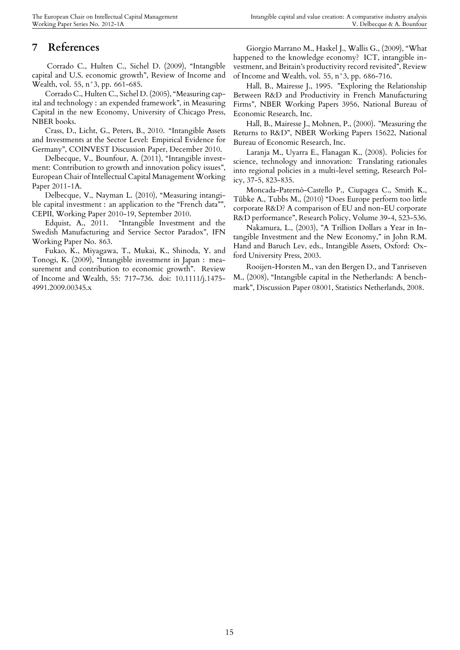### **7 References**

Corrado C., Hulten C., Sichel D. (2009), "Intangible capital and U.S. economic growth", Review of Income and Wealth, vol. 55, n°3, pp. 661-685.

Corrado C., Hulten C., Sichel D. (2005), "Measuring capital and technology : an expended framework", in Measuring Capital in the new Economy, University of Chicago Press, NBER books.

Crass, D., Licht, G., Peters, B., 2010. "Intangible Assets and Investments at the Sector Level: Empirical Evidence for Germany", COINVEST Discussion Paper, December 2010.

Delbecque, V., Bounfour, A. (2011), "Intangible investment: Contribution to growth and innovation policy issues", European Chair of Intellectual Capital Management Working Paper 2011-1A.

Delbecque, V., Nayman L. (2010), "Measuring intangible capital investment : an application to the "French data"", CEPII, Working Paper 2010-19, September 2010.

Edquist, A., 2011. "Intangible Investment and the Swedish Manufacturing and Service Sector Paradox", IFN Working Paper No. 863.

Fukao, K., Miyagawa, T., Mukai, K., Shinoda, Y. and Tonogi, K. (2009), "Intangible investment in Japan : measurement and contribution to economic growth". Review of Income and Wealth, 55: 717–736. doi: 10.1111/j.1475- 4991.2009.00345.x

Giorgio Marrano M., Haskel J., Wallis G., (2009), "What happened to the knowledge economy? ICT, intangible investment, and Britain's productivity record revisited", Review of Income and Wealth, vol. 55, n°3, pp. 686-716.

Hall, B., Mairesse J., 1995. "Exploring the Relationship Between R&D and Productivity in French Manufacturing Firms", NBER Working Papers 3956, National Bureau of Economic Research, Inc.

Hall, B., Mairesse J., Mohnen, P., (2000). "Measuring the Returns to R&D", NBER Working Papers 15622, National Bureau of Economic Research, Inc.

Laranja M., Uyarra E., Flanagan K., (2008). Policies for science, technology and innovation: Translating rationales into regional policies in a multi-level setting, Research Policy, 37-5, 823-835.

Moncada-Paternò-Castello P., Ciupagea C., Smith K., Tübke A., Tubbs M., (2010) "Does Europe perform too little corporate R&D? A comparison of EU and non-EU corporate R&D performance", Research Policy, Volume 39-4, 523-536.

Nakamura, L., (2003), "A Trillion Dollars a Year in Intangible Investment and the New Economy," in John R.M. Hand and Baruch Lev, eds., Intangible Assets, Oxford: Oxford University Press, 2003.

Rooijen-Horsten M., van den Bergen D., and Tanriseven M., (2008), "Intangible capital in the Netherlands: A benchmark", Discussion Paper 08001, Statistics Netherlands, 2008.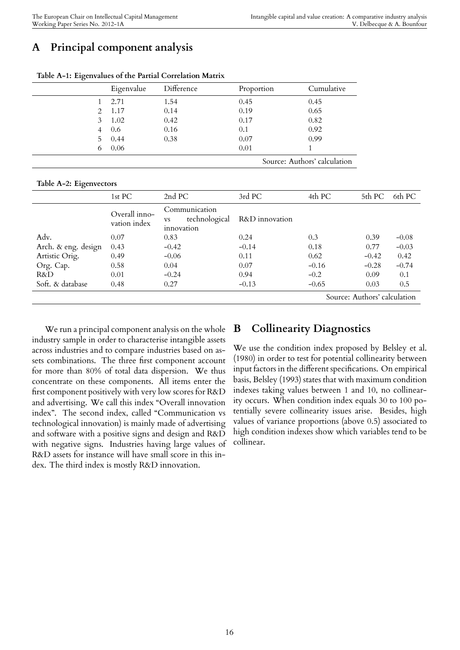# **A Principal component analysis**

|    | Eigenvalue | Difference | Proportion | Cumulative                   |
|----|------------|------------|------------|------------------------------|
|    | 2.71       | 1.54       | 0.45       | 0.45                         |
|    | 2 1.17     | 0.14       | 0.19       | 0.65                         |
| 3  | 1.02       | 0.42       | 0.17       | 0.82                         |
|    | 0.6        | 0.16       | 0.1        | 0.92                         |
| 5. | 0.44       | 0.38       | 0.07       | 0.99                         |
| 0  | 0.06       |            | 0.01       |                              |
|    |            |            |            | Source: Authors' calculation |

**Table A-1: Eigenvalues of the Partial Correlation Matrix**

#### **Table A-2: Eigenvectors**

| ັ                   |                               |                                                           |                |         |                              |         |
|---------------------|-------------------------------|-----------------------------------------------------------|----------------|---------|------------------------------|---------|
|                     | 1st PC                        | 2nd PC                                                    | 3rd PC         | 4th PC  | 5th PC                       | 6th PC  |
|                     | Overall inno-<br>vation index | Communication<br>technological<br><b>VS</b><br>innovation | R&D innovation |         |                              |         |
| Adv.                | 0.07                          | 0.83                                                      | 0.24           | 0.3     | 0.39                         | $-0.08$ |
| Arch. & eng. design | 0.43                          | $-0.42$                                                   | $-0.14$        | 0.18    | 0.77                         | $-0.03$ |
| Artistic Orig.      | 0.49                          | $-0.06$                                                   | 0.11           | 0.62    | $-0.42$                      | 0.42    |
| Org. Cap.           | 0.58                          | 0.04                                                      | 0.07           | $-0.16$ | $-0.28$                      | $-0.74$ |
| R&D                 | 0.01                          | $-0.24$                                                   | 0.94           | $-0.2$  | 0.09                         | 0.1     |
| Soft. & database    | 0.48                          | 0.27                                                      | $-0.13$        | $-0.65$ | 0.03                         | 0.5     |
|                     |                               |                                                           |                |         | Source: Authors' calculation |         |

We run a principal component analysis on the whole industry sample in order to characterise intangible assets across industries and to compare industries based on assets combinations. The three first component account for more than 80% of total data dispersion. We thus concentrate on these components. All items enter the first component positively with very low scores for R&D and advertising. We call this index "Overall innovation index". The second index, called "Communication vs technological innovation) is mainly made of advertising and software with a positive signs and design and R&D with negative signs. Industries having large values of R&D assets for instance will have small score in this index. The third index is mostly R&D innovation.

### **B Collinearity Diagnostics**

We use the condition index proposed by Belsley et al. (1980) in order to test for potential collinearity between input factors in the different specifications. On empirical basis, Belsley (1993) states that with maximum condition indexes taking values between 1 and 10, no collinearity occurs. When condition index equals 30 to 100 potentially severe collinearity issues arise. Besides, high values of variance proportions (above 0.5) associated to high condition indexes show which variables tend to be collinear.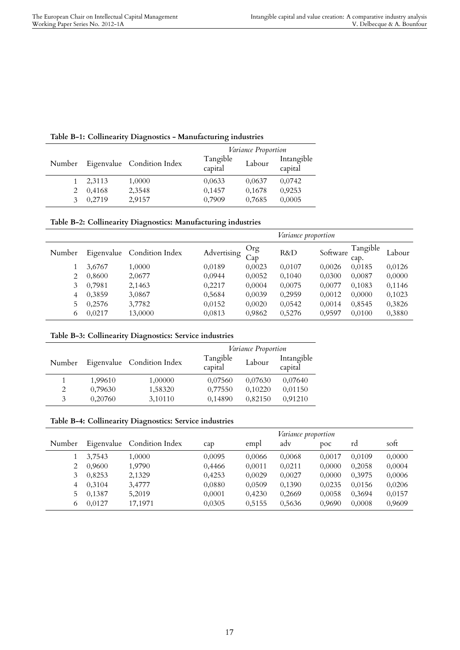| Table B-1: Collinearity Diagnostics - Manufacturing industries |  |  |
|----------------------------------------------------------------|--|--|
|----------------------------------------------------------------|--|--|

|        |        |                            | Variance Proportion |        |                       |  |  |
|--------|--------|----------------------------|---------------------|--------|-----------------------|--|--|
| Number |        | Eigenvalue Condition Index | Tangible<br>capital | Labour | Intangible<br>capital |  |  |
|        | 2,3113 | 1,0000                     | 0,0633              | 0,0637 | 0,0742                |  |  |
|        | 0,4168 | 2,3548                     | 0,1457              | 0,1678 | 0,9253                |  |  |
|        | 0.2719 | 2,9157                     | 0.7909              | 0,7685 | 0,0005                |  |  |

|  | Table B-2: Collinearity Diagnostics: Manufacturing industries |  |
|--|---------------------------------------------------------------|--|
|  |                                                               |  |

|        |        |                            |             |            | Variance proportion |          |                  |        |
|--------|--------|----------------------------|-------------|------------|---------------------|----------|------------------|--------|
| Number |        | Eigenvalue Condition Index | Advertising | Org<br>Cap | R&D                 | Software | Tangible<br>cap. | Labour |
|        | 3,6767 | 1,0000                     | 0,0189      | 0,0023     | 0,0107              | 0,0026   | 0,0185           | 0,0126 |
| 2      | 0,8600 | 2,0677                     | 0,0944      | 0,0052     | 0,1040              | 0,0300   | 0,0087           | 0,0000 |
| 3      | 0,7981 | 2,1463                     | 0.2217      | 0.0004     | 0,0075              | 0.0077   | 0.1083           | 0,1146 |
| 4      | 0,3859 | 3,0867                     | 0,5684      | 0,0039     | 0,2959              | 0,0012   | 0,0000           | 0,1023 |
| 5      | 0,2576 | 3,7782                     | 0,0152      | 0,0020     | 0,0542              | 0,0014   | 0,8545           | 0,3826 |
| 6      | 0,0217 | 13,0000                    | 0,0813      | 0,9862     | 0,5276              | 0,9597   | 0.0100           | 0,3880 |

| Table B-3: Collinearity Diagnostics: Service industries |  |  |
|---------------------------------------------------------|--|--|
|---------------------------------------------------------|--|--|

|        |         |                            |                     | Variance Proportion |                       |  |  |  |
|--------|---------|----------------------------|---------------------|---------------------|-----------------------|--|--|--|
| Number |         | Eigenvalue Condition Index | Tangible<br>capital | Labour              | Intangible<br>capital |  |  |  |
|        | 1,99610 | 1,00000                    | 0,07560             | 0,07630             | 0,07640               |  |  |  |
| 2      | 0,79630 | 1,58320                    | 0,77550             | 0,10220             | 0,01150               |  |  |  |
| 3      | 0,20760 | 3,10110                    | 0,14890             | 0,82150             | 0.91210               |  |  |  |

|  | Table B-4: Collinearity Diagnostics: Service industries |  |  |  |  |
|--|---------------------------------------------------------|--|--|--|--|
|--|---------------------------------------------------------|--|--|--|--|

|        |        |                            |        |        | <i>Variance proportion</i> |        |        |        |
|--------|--------|----------------------------|--------|--------|----------------------------|--------|--------|--------|
| Number |        | Eigenvalue Condition Index | cap    | empl   | adv                        | poc    | rd     | soft   |
|        | 3.7543 | 1,0000                     | 0,0095 | 0.0066 | 0,0068                     | 0.0017 | 0.0109 | 0,0000 |
|        | 0.9600 | 1,9790                     | 0,4466 | 0.0011 | 0,0211                     | 0.0000 | 0,2058 | 0,0004 |
| 3      | 0.8253 | 2,1329                     | 0,4253 | 0.0029 | 0,0027                     | 0.0000 | 0.3975 | 0,0006 |
| 4      | 0.3104 | 3.4777                     | 0,0880 | 0,0509 | 0.1390                     | 0,0235 | 0.0156 | 0,0206 |
| 5.     | 0,1387 | 5,2019                     | 0,0001 | 0.4230 | 0,2669                     | 0,0058 | 0,3694 | 0,0157 |
| 6      | 0.0127 | 17,1971                    | 0,0305 | 0,5155 | 0,5636                     | 0.9690 | 0.0008 | 0,9609 |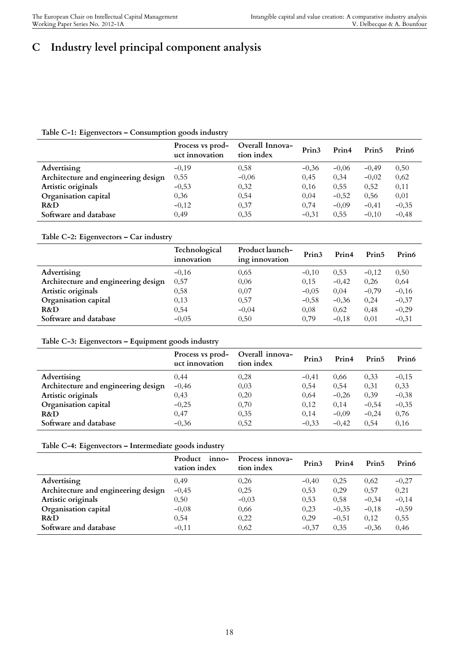# **C Industry level principal component analysis**

### **Table C-1: Eigenvectors – Consumption goods industry**

|                                     | Process vs prod-<br>uct innovation | Overall Innova-<br>tion index | Prin <sub>3</sub> | Prin4   | Prin <sub>5</sub> | Prin6   |
|-------------------------------------|------------------------------------|-------------------------------|-------------------|---------|-------------------|---------|
| Advertising                         | $-0.19$                            | 0.58                          | $-0.36$           | $-0.06$ | $-0.49$           | 0,50    |
| Architecture and engineering design | 0,55                               | $-0.06$                       | 0,45              | 0,34    | $-0.02$           | 0,62    |
| Artistic originals                  | $-0,53$                            | 0,32                          | 0,16              | 0,55    | 0,52              | 0,11    |
| Organisation capital                | 0,36                               | 0,54                          | 0,04              | $-0,52$ | 0,56              | 0,01    |
| R&D                                 | $-0,12$                            | 0,37                          | 0.74              | $-0.09$ | $-0,41$           | $-0.35$ |
| Software and database               | 0.49                               | 0.35                          | $-0.31$           | 0.55    | $-0.10$           | $-0.48$ |

#### **Table C-2: Eigenvectors – Car industry**

|                                     | Technological<br>innovation | Product launch-<br>ing innovation | Prin <sub>3</sub> | Prin4   | Prin <sub>5</sub> | Prin6   |
|-------------------------------------|-----------------------------|-----------------------------------|-------------------|---------|-------------------|---------|
| Advertising                         | $-0,16$                     | 0,65                              | $-0.10$           | 0,53    | $-0.12$           | 0,50    |
| Architecture and engineering design | 0,57                        | 0,06                              | 0.15              | $-0.42$ | 0.26              | 0,64    |
| Artistic originals                  | 0,58                        | 0,07                              | $-0.05$           | 0,04    | $-0,79$           | $-0.16$ |
| Organisation capital                | 0,13                        | 0,57                              | $-0.58$           | $-0,36$ | 0,24              | $-0,37$ |
| R&D                                 | 0,54                        | $-0.04$                           | 0.08              | 0,62    | 0.48              | $-0,29$ |
| Software and database               | $-0.05$                     | 0,50                              | 0.79              | $-0.18$ | 0.01              | $-0,31$ |

### **Table C-3: Eigenvectors – Equipment goods industry**

|                                     | Process vs prod-<br>uct innovation | Overall innova-<br>tion index | Prin <sub>3</sub> | Prin4   | Prin <sub>5</sub> | Prin <sub>6</sub> |
|-------------------------------------|------------------------------------|-------------------------------|-------------------|---------|-------------------|-------------------|
| Advertising                         | 0.44                               | 0,28                          | $-0.41$           | 0.66    | 0,33              | $-0,15$           |
| Architecture and engineering design | $-0,46$                            | 0,03                          | 0,54              | 0,54    | 0.31              | 0,33              |
| Artistic originals                  | 0,43                               | 0,20                          | 0,64              | $-0.26$ | 0,39              | $-0,38$           |
| Organisation capital                | $-0,25$                            | 0,70                          | 0,12              | 0,14    | $-0,54$           | $-0.35$           |
| R&D                                 | 0,47                               | 0,35                          | 0.14              | $-0,09$ | $-0.24$           | 0,76              |
| Software and database               | $-0,36$                            | 0,52                          | $-0,33$           | $-0.42$ | 0.54              | 0,16              |

### **Table C-4: Eigenvectors – Intermediate goods industry**

|                                     | Product<br>inno-<br>vation index | Process innova-<br>tion index | Prin <sub>3</sub> | Prin4   | Prin <sub>5</sub> | Prin6   |
|-------------------------------------|----------------------------------|-------------------------------|-------------------|---------|-------------------|---------|
| Advertising                         | 0.49                             | 0,26                          | $-0.40$           | 0,25    | 0,62              | $-0,27$ |
| Architecture and engineering design | $-0,45$                          | 0,25                          | 0,53              | 0,29    | 0,57              | 0,21    |
| Artistic originals                  | 0,50                             | $-0.03$                       | 0,53              | 0,58    | $-0,34$           | $-0,14$ |
| Organisation capital                | $-0,08$                          | 0,66                          | 0,23              | $-0,35$ | $-0.18$           | $-0,59$ |
| R&D                                 | 0,54                             | 0,22                          | 0,29              | $-0.51$ | 0,12              | 0,55    |
| Software and database               | $-0,11$                          | 0,62                          | $-0.37$           | 0.35    | $-0.36$           | 0.46    |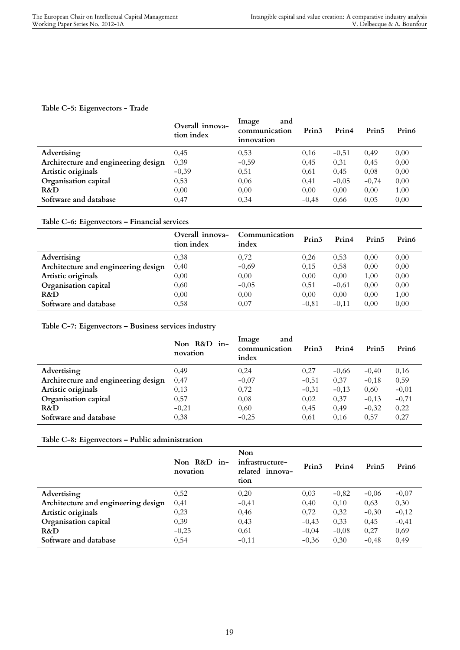### **Table C-5: Eigenvectors - Trade**

|                                     | Overall innova-<br>tion index | Image<br>and<br>communication<br>innovation | Prin <sub>3</sub> | Prin4   | Prin <sub>5</sub> | Prin <sub>6</sub> |
|-------------------------------------|-------------------------------|---------------------------------------------|-------------------|---------|-------------------|-------------------|
| Advertising                         | 0.45                          | 0,53                                        | 0.16              | $-0.51$ | 0,49              | 0,00              |
| Architecture and engineering design | 0,39                          | $-0.59$                                     | 0,45              | 0,31    | 0,45              | 0,00              |
| Artistic originals                  | $-0,39$                       | 0,51                                        | 0,61              | 0,45    | 0,08              | 0,00              |
| Organisation capital                | 0,53                          | 0,06                                        | 0.41              | $-0.05$ | $-0,74$           | 0,00              |
| R&D                                 | 0,00                          | 0,00                                        | 0.00              | 0,00    | 0,00              | 1,00              |
| Software and database               | 0.47                          | 0.34                                        | $-0.48$           | 0.66    | 0.05              | 0,00              |

### **Table C-6: Eigenvectors – Financial services**

|                                     | Overall innova-<br>tion index | Communication<br>index | Prin <sub>3</sub> | Prin4   | Prin <sub>5</sub> | Prin6 |
|-------------------------------------|-------------------------------|------------------------|-------------------|---------|-------------------|-------|
| Advertising                         | 0.38                          | 0,72                   | 0.26              | 0.53    | 0.00              | 0,00  |
| Architecture and engineering design | 0,40                          | $-0.69$                | 0.15              | 0,58    | 0,00              | 0,00  |
| Artistic originals                  | 0,00                          | 0,00                   | 0,00              | 0,00    | 1,00              | 0,00  |
| Organisation capital                | 0,60                          | $-0.05$                | 0,51              | $-0,61$ | 0,00              | 0,00  |
| R&D                                 | 0,00                          | 0,00                   | 0,00              | 0,00    | 0,00              | 1,00  |
| Software and database               | 0,58                          | 0,07                   | $-0.81$           | $-0.11$ | 0.00              | 0,00  |

### **Table C-7: Eigenvectors – Business services industry**

|                                     | Non R&D in-<br>novation | Image<br>and<br>communication<br>index | Prin <sub>3</sub> | Prin4   | Prin5   | Prin <sub>6</sub> |
|-------------------------------------|-------------------------|----------------------------------------|-------------------|---------|---------|-------------------|
| Advertising                         | 0.49                    | 0,24                                   | 0,27              | $-0.66$ | $-0,40$ | 0,16              |
| Architecture and engineering design | 0,47                    | $-0,07$                                | $-0,51$           | 0,37    | $-0.18$ | 0,59              |
| Artistic originals                  | 0,13                    | 0,72                                   | $-0,31$           | $-0,13$ | 0,60    | $-0,01$           |
| Organisation capital                | 0,57                    | 0,08                                   | 0,02              | 0,37    | $-0,13$ | $-0,71$           |
| R&D                                 | $-0,21$                 | 0,60                                   | 0,45              | 0,49    | $-0,32$ | 0,22              |
| Software and database               | 0.38                    | $-0,25$                                | 0.61              | 0.16    | 0.57    | 0,27              |

**Table C-8: Eigenvectors – Public administration**

|                                     | Non R&D in-<br>novation | Non<br>infrastructure-<br>related innova-<br>tion | Prin <sub>3</sub> | Prin4   | Prin <sub>5</sub> | Prin <sub>6</sub> |
|-------------------------------------|-------------------------|---------------------------------------------------|-------------------|---------|-------------------|-------------------|
| Advertising                         | 0,52                    | 0,20                                              | 0,03              | $-0,82$ | $-0,06$           | $-0,07$           |
| Architecture and engineering design | 0,41                    | $-0,41$                                           | 0,40              | 0,10    | 0,63              | 0,30              |
| Artistic originals                  | 0,23                    | 0,46                                              | 0,72              | 0,32    | $-0,30$           | $-0,12$           |
| Organisation capital                | 0,39                    | 0,43                                              | $-0,43$           | 0,33    | 0,45              | $-0,41$           |
| R&D                                 | $-0,25$                 | 0,61                                              | $-0,04$           | $-0.08$ | 0,27              | 0,69              |
| Software and database               | 0,54                    | $-0.11$                                           | $-0,36$           | 0,30    | $-0.48$           | 0,49              |